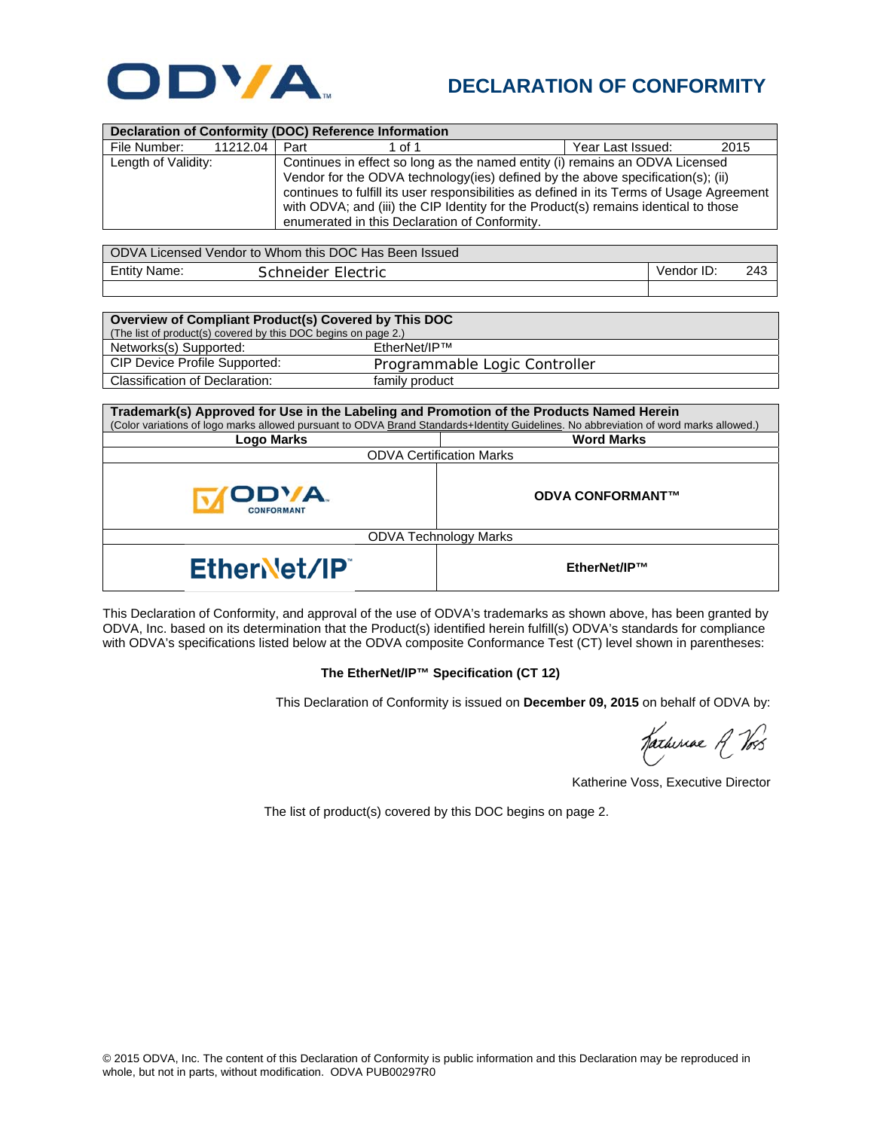

## **DECLARATION OF CONFORMITY**

| Declaration of Conformity (DOC) Reference Information |          |                                                                                                                                                                                                                                                                                                                                                                                                       |        |                   |      |  |
|-------------------------------------------------------|----------|-------------------------------------------------------------------------------------------------------------------------------------------------------------------------------------------------------------------------------------------------------------------------------------------------------------------------------------------------------------------------------------------------------|--------|-------------------|------|--|
| File Number:                                          | 11212.04 | Part                                                                                                                                                                                                                                                                                                                                                                                                  | 1 of 1 | Year Last Issued: | 2015 |  |
| Length of Validity:                                   |          | Continues in effect so long as the named entity (i) remains an ODVA Licensed<br>Vendor for the ODVA technology (ies) defined by the above specification(s); (ii)<br>continues to fulfill its user responsibilities as defined in its Terms of Usage Agreement<br>with ODVA; and (iii) the CIP Identity for the Product(s) remains identical to those<br>enumerated in this Declaration of Conformity. |        |                   |      |  |

| ODVA Licensed Vendor to Whom this DOC Has Been Issued |                    |            |     |  |  |
|-------------------------------------------------------|--------------------|------------|-----|--|--|
| <b>Entity Name:</b>                                   | Schneider Electric | Vendor ID: | 243 |  |  |
|                                                       |                    |            |     |  |  |

| Overview of Compliant Product(s) Covered by This DOC           |                               |  |  |  |
|----------------------------------------------------------------|-------------------------------|--|--|--|
| (The list of product(s) covered by this DOC begins on page 2.) |                               |  |  |  |
| Networks(s) Supported:                                         | EtherNet/IP™                  |  |  |  |
| CIP Device Profile Supported:                                  | Programmable Logic Controller |  |  |  |
| Classification of Declaration:                                 | family product                |  |  |  |

| Trademark(s) Approved for Use in the Labeling and Promotion of the Products Named Herein<br>(Color variations of logo marks allowed pursuant to ODVA Brand Standards+Identity Guidelines. No abbreviation of word marks allowed.) |                         |  |  |
|-----------------------------------------------------------------------------------------------------------------------------------------------------------------------------------------------------------------------------------|-------------------------|--|--|
| <b>Logo Marks</b>                                                                                                                                                                                                                 | <b>Word Marks</b>       |  |  |
| <b>ODVA Certification Marks</b>                                                                                                                                                                                                   |                         |  |  |
| <b>ODYA</b><br>CONFORMANT                                                                                                                                                                                                         | <b>ODVA CONFORMANT™</b> |  |  |
| <b>ODVA Technology Marks</b>                                                                                                                                                                                                      |                         |  |  |
| EtherNet/IP                                                                                                                                                                                                                       | EtherNet/IP™            |  |  |

This Declaration of Conformity, and approval of the use of ODVA's trademarks as shown above, has been granted by ODVA, Inc. based on its determination that the Product(s) identified herein fulfill(s) ODVA's standards for compliance with ODVA's specifications listed below at the ODVA composite Conformance Test (CT) level shown in parentheses:

## **The EtherNet/IP™ Specification (CT 12)**

This Declaration of Conformity is issued on **December 09, 2015** on behalf of ODVA by:

Katheriae A Vos

Katherine Voss, Executive Director

The list of product(s) covered by this DOC begins on page 2.